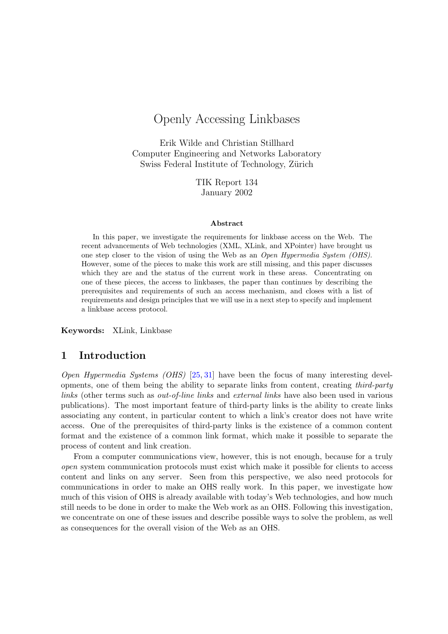# Openly Accessing Linkbases

Erik Wilde and Christian Stillhard Computer Engineering and Networks Laboratory Swiss Federal Institute of Technology, Zürich

> TIK Report 134 January 2002

#### Abstract

In this paper, we investigate the requirements for linkbase access on the Web. The recent advancements of Web technologies (XML, XLink, and XPointer) have brought us one step closer to the vision of using the Web as an Open Hypermedia System (OHS). However, some of the pieces to make this work are still missing, and this paper discusses which they are and the status of the current work in these areas. Concentrating on one of these pieces, the access to linkbases, the paper than continues by describing the prerequisites and requirements of such an access mechanism, and closes with a list of requirements and design principles that we will use in a next step to specify and implement a linkbase access protocol.

Keywords: XLink, Linkbase

### 1 Introduction

Open Hypermedia Systems (OHS) [\[25,](#page-13-0) [31\]](#page-13-0) have been the focus of many interesting developments, one of them being the ability to separate links from content, creating third-party links (other terms such as out-of-line links and external links have also been used in various publications). The most important feature of third-party links is the ability to create links associating any content, in particular content to which a link's creator does not have write access. One of the prerequisites of third-party links is the existence of a common content format and the existence of a common link format, which make it possible to separate the process of content and link creation.

From a computer communications view, however, this is not enough, because for a truly open system communication protocols must exist which make it possible for clients to access content and links on any server. Seen from this perspective, we also need protocols for communications in order to make an OHS really work. In this paper, we investigate how much of this vision of OHS is already available with today's Web technologies, and how much still needs to be done in order to make the Web work as an OHS. Following this investigation, we concentrate on one of these issues and describe possible ways to solve the problem, as well as consequences for the overall vision of the Web as an OHS.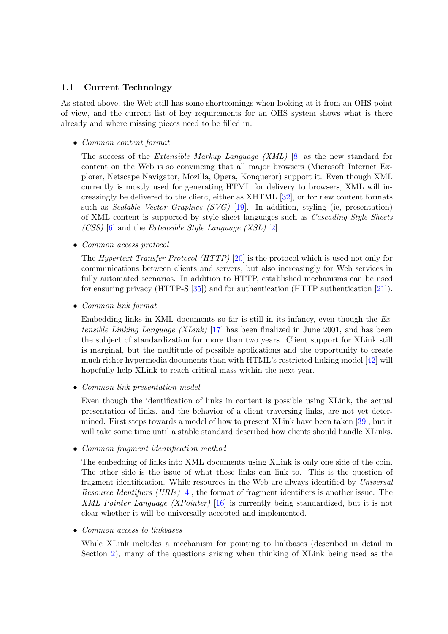### 1.1 Current Technology

As stated above, the Web still has some shortcomings when looking at it from an OHS point of view, and the current list of key requirements for an OHS system shows what is there already and where missing pieces need to be filled in.

• Common content format

The success of the Extensible Markup Language (XML) [\[8\]](#page-12-0) as the new standard for content on the Web is so convincing that all major browsers (Microsoft Internet Explorer, Netscape Navigator, Mozilla, Opera, Konqueror) support it. Even though XML currently is mostly used for generating HTML for delivery to browsers, XML will increasingly be delivered to the client, either as XHTML [\[32\]](#page-13-0), or for new content formats such as Scalable Vector Graphics (SVG) [\[19\]](#page-12-0). In addition, styling (ie, presentation) of XML content is supported by style sheet languages such as Cascading Style Sheets (CSS) [\[6\]](#page-12-0) and the Extensible Style Language (XSL)  $[2]$ .

• Common access protocol

The Hypertext Transfer Protocol (HTTP) [\[20\]](#page-12-0) is the protocol which is used not only for communications between clients and servers, but also increasingly for Web services in fully automated scenarios. In addition to HTTP, established mechanisms can be used for ensuring privacy (HTTP-S [\[35\]](#page-13-0)) and for authentication (HTTP authentication [\[21\]](#page-13-0)).

• Common link format

Embedding links in XML documents so far is still in its infancy, even though the  $Ex$ tensible Linking Language (XLink) [\[17\]](#page-12-0) has been finalized in June 2001, and has been the subject of standardization for more than two years. Client support for XLink still is marginal, but the multitude of possible applications and the opportunity to create much richer hypermedia documents than with HTML's restricted linking model [\[42\]](#page-14-0) will hopefully help XLink to reach critical mass within the next year.

• Common link presentation model

Even though the identification of links in content is possible using XLink, the actual presentation of links, and the behavior of a client traversing links, are not yet determined. First steps towards a model of how to present XLink have been taken [\[39\]](#page-13-0), but it will take some time until a stable standard described how clients should handle XLinks.

• Common fragment identification method

The embedding of links into XML documents using XLink is only one side of the coin. The other side is the issue of what these links can link to. This is the question of fragment identification. While resources in the Web are always identified by Universal Resource Identifiers (URIs) [\[4\]](#page-12-0), the format of fragment identifiers is another issue. The XML Pointer Language (XPointer) [\[16\]](#page-12-0) is currently being standardized, but it is not clear whether it will be universally accepted and implemented.

• Common access to linkbases

While XLink includes a mechanism for pointing to linkbases (described in detail in Section [2\)](#page-3-0), many of the questions arising when thinking of XLink being used as the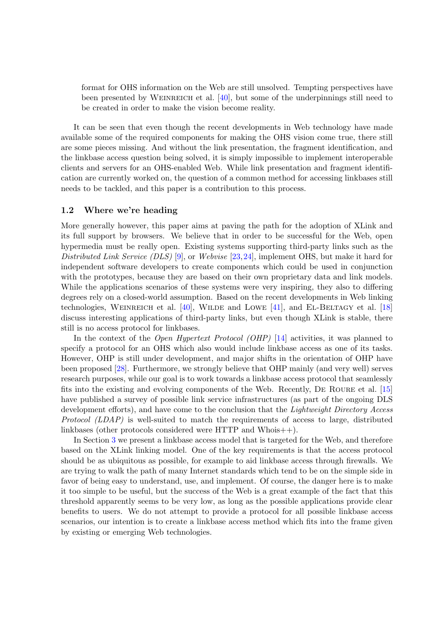format for OHS information on the Web are still unsolved. Tempting perspectives have been presented by WEINREICH et al.  $[40]$ , but some of the underpinnings still need to be created in order to make the vision become reality.

It can be seen that even though the recent developments in Web technology have made available some of the required components for making the OHS vision come true, there still are some pieces missing. And without the link presentation, the fragment identification, and the linkbase access question being solved, it is simply impossible to implement interoperable clients and servers for an OHS-enabled Web. While link presentation and fragment identification are currently worked on, the question of a common method for accessing linkbases still needs to be tackled, and this paper is a contribution to this process.

#### 1.2 Where we're heading

More generally however, this paper aims at paving the path for the adoption of XLink and its full support by browsers. We believe that in order to be successful for the Web, open hypermedia must be really open. Existing systems supporting third-party links such as the Distributed Link Service (DLS) [\[9\]](#page-12-0), or Webvise [\[23,24\]](#page-13-0), implement OHS, but make it hard for independent software developers to create components which could be used in conjunction with the prototypes, because they are based on their own proprietary data and link models. While the applications scenarios of these systems were very inspiring, they also to differing degrees rely on a closed-world assumption. Based on the recent developments in Web linking technologies, WEINREICH et al.  $[40]$ , WILDE and LOWE  $[41]$ , and EL-BELTAGY et al.  $[18]$ discuss interesting applications of third-party links, but even though XLink is stable, there still is no access protocol for linkbases.

In the context of the *Open Hypertext Protocol (OHP)* [\[14\]](#page-12-0) activities, it was planned to specify a protocol for an OHS which also would include linkbase access as one of its tasks. However, OHP is still under development, and major shifts in the orientation of OHP have been proposed [\[28\]](#page-13-0). Furthermore, we strongly believe that OHP mainly (and very well) serves research purposes, while our goal is to work towards a linkbase access protocol that seamlessly fits into the existing and evolving components of the Web. Recently, De Roure et al. [\[15\]](#page-12-0) have published a survey of possible link service infrastructures (as part of the ongoing DLS development efforts), and have come to the conclusion that the *Lightweight Directory Access* Protocol (LDAP) is well-suited to match the requirements of access to large, distributed linkbases (other protocols considered were HTTP and Whois++).

In Section [3](#page-4-0) we present a linkbase access model that is targeted for the Web, and therefore based on the XLink linking model. One of the key requirements is that the access protocol should be as ubiquitous as possible, for example to aid linkbase access through firewalls. We are trying to walk the path of many Internet standards which tend to be on the simple side in favor of being easy to understand, use, and implement. Of course, the danger here is to make it too simple to be useful, but the success of the Web is a great example of the fact that this threshold apparently seems to be very low, as long as the possible applications provide clear benefits to users. We do not attempt to provide a protocol for all possible linkbase access scenarios, our intention is to create a linkbase access method which fits into the frame given by existing or emerging Web technologies.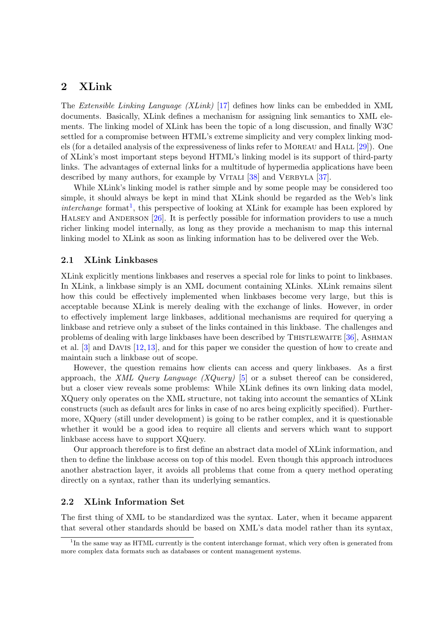## <span id="page-3-0"></span>2 XLink

The Extensible Linking Language (XLink) [\[17\]](#page-12-0) defines how links can be embedded in XML documents. Basically, XLink defines a mechanism for assigning link semantics to XML elements. The linking model of XLink has been the topic of a long discussion, and finally W3C settled for a compromise between HTML's extreme simplicity and very complex linking models (for a detailed analysis of the expressiveness of links refer to MOREAU and HALL  $[29]$ ). One of XLink's most important steps beyond HTML's linking model is its support of third-party links. The advantages of external links for a multitude of hypermedia applications have been described by many authors, for example by VITALI [\[38\]](#page-13-0) and VERBYLA [\[37\]](#page-13-0).

While XLink's linking model is rather simple and by some people may be considered too simple, it should always be kept in mind that XLink should be regarded as the Web's link  $interchange$  format<sup>1</sup>, this perspective of looking at XLink for example has been explored by HALSEY and ANDERSON  $[26]$ . It is perfectly possible for information providers to use a much richer linking model internally, as long as they provide a mechanism to map this internal linking model to XLink as soon as linking information has to be delivered over the Web.

#### 2.1 XLink Linkbases

XLink explicitly mentions linkbases and reserves a special role for links to point to linkbases. In XLink, a linkbase simply is an XML document containing XLinks. XLink remains silent how this could be effectively implemented when linkbases become very large, but this is acceptable because XLink is merely dealing with the exchange of links. However, in order to effectively implement large linkbases, additional mechanisms are required for querying a linkbase and retrieve only a subset of the links contained in this linkbase. The challenges and problems of dealing with large linkbases have been described by THISTLEWAITE  $[36]$ , ASHMAN et al. [\[3\]](#page-11-0) and Davis [\[12,13\]](#page-12-0), and for this paper we consider the question of how to create and maintain such a linkbase out of scope.

However, the question remains how clients can access and query linkbases. As a first approach, the XML Query Language (XQuery) [\[5\]](#page-12-0) or a subset thereof can be considered, but a closer view reveals some problems: While XLink defines its own linking data model, XQuery only operates on the XML structure, not taking into account the semantics of XLink constructs (such as default arcs for links in case of no arcs being explicitly specified). Furthermore, XQuery (still under development) is going to be rather complex, and it is questionable whether it would be a good idea to require all clients and servers which want to support linkbase access have to support XQuery.

Our approach therefore is to first define an abstract data model of XLink information, and then to define the linkbase access on top of this model. Even though this approach introduces another abstraction layer, it avoids all problems that come from a query method operating directly on a syntax, rather than its underlying semantics.

#### 2.2 XLink Information Set

The first thing of XML to be standardized was the syntax. Later, when it became apparent that several other standards should be based on XML's data model rather than its syntax,

<sup>&</sup>lt;sup>1</sup>In the same way as HTML currently is the content interchange format, which very often is generated from more complex data formats such as databases or content management systems.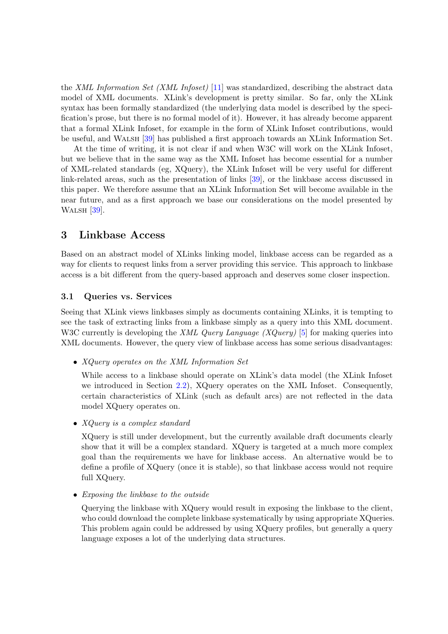<span id="page-4-0"></span>the XML Information Set (XML Infoset) [\[11\]](#page-12-0) was standardized, describing the abstract data model of XML documents. XLink's development is pretty similar. So far, only the XLink syntax has been formally standardized (the underlying data model is described by the specification's prose, but there is no formal model of it). However, it has already become apparent that a formal XLink Infoset, for example in the form of XLink Infoset contributions, would be useful, and Walsh [\[39\]](#page-13-0) has published a first approach towards an XLink Information Set.

At the time of writing, it is not clear if and when W3C will work on the XLink Infoset, but we believe that in the same way as the XML Infoset has become essential for a number of XML-related standards (eg, XQuery), the XLink Infoset will be very useful for different link-related areas, such as the presentation of links [\[39\]](#page-13-0), or the linkbase access discussed in this paper. We therefore assume that an XLink Information Set will become available in the near future, and as a first approach we base our considerations on the model presented by WALSH [\[39\]](#page-13-0).

## 3 Linkbase Access

Based on an abstract model of XLinks linking model, linkbase access can be regarded as a way for clients to request links from a server providing this service. This approach to linkbase access is a bit different from the query-based approach and deserves some closer inspection.

#### 3.1 Queries vs. Services

Seeing that XLink views linkbases simply as documents containing XLinks, it is tempting to see the task of extracting links from a linkbase simply as a query into this XML document. W3C currently is developing the *XML Query Language (XQuery)* [\[5\]](#page-12-0) for making queries into XML documents. However, the query view of linkbase access has some serious disadvantages:

• XQuery operates on the XML Information Set

While access to a linkbase should operate on XLink's data model (the XLink Infoset we introduced in Section [2.2\)](#page-3-0), XQuery operates on the XML Infoset. Consequently, certain characteristics of XLink (such as default arcs) are not reflected in the data model XQuery operates on.

• *XQuery is a complex standard* 

XQuery is still under development, but the currently available draft documents clearly show that it will be a complex standard. XQuery is targeted at a much more complex goal than the requirements we have for linkbase access. An alternative would be to define a profile of XQuery (once it is stable), so that linkbase access would not require full XQuery.

• Exposing the linkbase to the outside

Querying the linkbase with XQuery would result in exposing the linkbase to the client, who could download the complete linkbase systematically by using appropriate XQueries. This problem again could be addressed by using XQuery profiles, but generally a query language exposes a lot of the underlying data structures.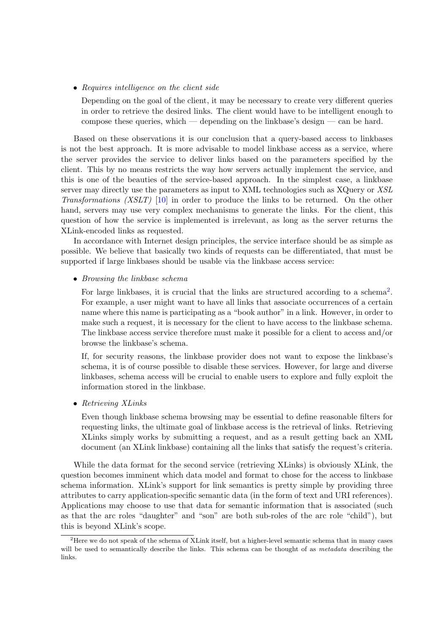• Requires intelligence on the client side

Depending on the goal of the client, it may be necessary to create very different queries in order to retrieve the desired links. The client would have to be intelligent enough to compose these queries, which — depending on the linkbase's design — can be hard.

Based on these observations it is our conclusion that a query-based access to linkbases is not the best approach. It is more advisable to model linkbase access as a service, where the server provides the service to deliver links based on the parameters specified by the client. This by no means restricts the way how servers actually implement the service, and this is one of the beauties of the service-based approach. In the simplest case, a linkbase server may directly use the parameters as input to XML technologies such as XQuery or XSL Transformations (XSLT) [\[10\]](#page-12-0) in order to produce the links to be returned. On the other hand, servers may use very complex mechanisms to generate the links. For the client, this question of how the service is implemented is irrelevant, as long as the server returns the XLink-encoded links as requested.

In accordance with Internet design principles, the service interface should be as simple as possible. We believe that basically two kinds of requests can be differentiated, that must be supported if large linkbases should be usable via the linkbase access service:

• Browsing the linkbase schema

For large linkbases, it is crucial that the links are structured according to a schema<sup>2</sup>. For example, a user might want to have all links that associate occurrences of a certain name where this name is participating as a "book author" in a link. However, in order to make such a request, it is necessary for the client to have access to the linkbase schema. The linkbase access service therefore must make it possible for a client to access and/or browse the linkbase's schema.

If, for security reasons, the linkbase provider does not want to expose the linkbase's schema, it is of course possible to disable these services. However, for large and diverse linkbases, schema access will be crucial to enable users to explore and fully exploit the information stored in the linkbase.

• Retrieving XLinks

Even though linkbase schema browsing may be essential to define reasonable filters for requesting links, the ultimate goal of linkbase access is the retrieval of links. Retrieving XLinks simply works by submitting a request, and as a result getting back an XML document (an XLink linkbase) containing all the links that satisfy the request's criteria.

While the data format for the second service (retrieving XLinks) is obviously XLink, the question becomes imminent which data model and format to chose for the access to linkbase schema information. XLink's support for link semantics is pretty simple by providing three attributes to carry application-specific semantic data (in the form of text and URI references). Applications may choose to use that data for semantic information that is associated (such as that the arc roles "daughter" and "son" are both sub-roles of the arc role "child"), but this is beyond XLink's scope.

<sup>&</sup>lt;sup>2</sup>Here we do not speak of the schema of XLink itself, but a higher-level semantic schema that in many cases will be used to semantically describe the links. This schema can be thought of as *metadata* describing the links.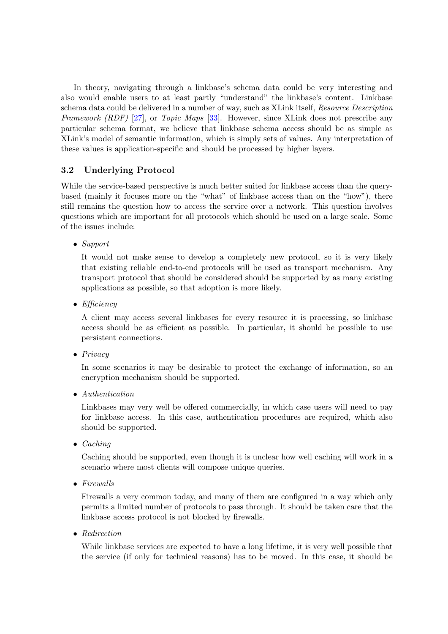In theory, navigating through a linkbase's schema data could be very interesting and also would enable users to at least partly "understand" the linkbase's content. Linkbase schema data could be delivered in a number of way, such as XLink itself, Resource Description Framework (RDF) [\[27\]](#page-13-0), or Topic Maps [\[33\]](#page-13-0). However, since XLink does not prescribe any particular schema format, we believe that linkbase schema access should be as simple as XLink's model of semantic information, which is simply sets of values. Any interpretation of these values is application-specific and should be processed by higher layers.

## 3.2 Underlying Protocol

While the service-based perspective is much better suited for linkbase access than the querybased (mainly it focuses more on the "what" of linkbase access than on the "how"), there still remains the question how to access the service over a network. This question involves questions which are important for all protocols which should be used on a large scale. Some of the issues include:

• Support

It would not make sense to develop a completely new protocol, so it is very likely that existing reliable end-to-end protocols will be used as transport mechanism. Any transport protocol that should be considered should be supported by as many existing applications as possible, so that adoption is more likely.

• Efficiency

A client may access several linkbases for every resource it is processing, so linkbase access should be as efficient as possible. In particular, it should be possible to use persistent connections.

• Privacy

In some scenarios it may be desirable to protect the exchange of information, so an encryption mechanism should be supported.

• Authentication

Linkbases may very well be offered commercially, in which case users will need to pay for linkbase access. In this case, authentication procedures are required, which also should be supported.

• Caching

Caching should be supported, even though it is unclear how well caching will work in a scenario where most clients will compose unique queries.

• Firewalls

Firewalls a very common today, and many of them are configured in a way which only permits a limited number of protocols to pass through. It should be taken care that the linkbase access protocol is not blocked by firewalls.

• Redirection

While linkbase services are expected to have a long lifetime, it is very well possible that the service (if only for technical reasons) has to be moved. In this case, it should be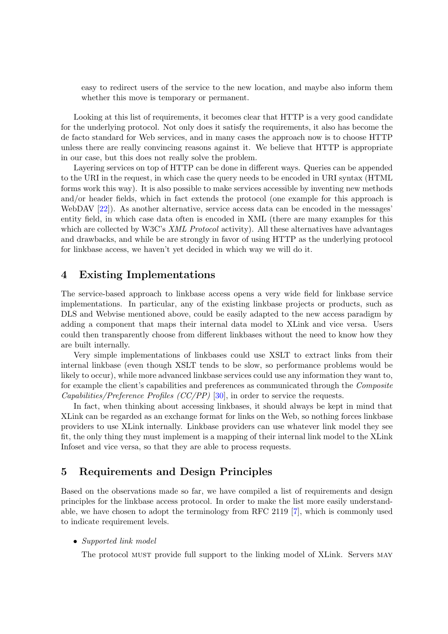easy to redirect users of the service to the new location, and maybe also inform them whether this move is temporary or permanent.

Looking at this list of requirements, it becomes clear that HTTP is a very good candidate for the underlying protocol. Not only does it satisfy the requirements, it also has become the de facto standard for Web services, and in many cases the approach now is to choose HTTP unless there are really convincing reasons against it. We believe that HTTP is appropriate in our case, but this does not really solve the problem.

Layering services on top of HTTP can be done in different ways. Queries can be appended to the URI in the request, in which case the query needs to be encoded in URI syntax (HTML forms work this way). It is also possible to make services accessible by inventing new methods and/or header fields, which in fact extends the protocol (one example for this approach is WebDAV [\[22\]](#page-13-0)). As another alternative, service access data can be encoded in the messages' entity field, in which case data often is encoded in XML (there are many examples for this which are collected by W3C's XML Protocol activity). All these alternatives have advantages and drawbacks, and while be are strongly in favor of using HTTP as the underlying protocol for linkbase access, we haven't yet decided in which way we will do it.

### 4 Existing Implementations

The service-based approach to linkbase access opens a very wide field for linkbase service implementations. In particular, any of the existing linkbase projects or products, such as DLS and Webvise mentioned above, could be easily adapted to the new access paradigm by adding a component that maps their internal data model to XLink and vice versa. Users could then transparently choose from different linkbases without the need to know how they are built internally.

Very simple implementations of linkbases could use XSLT to extract links from their internal linkbase (even though XSLT tends to be slow, so performance problems would be likely to occur), while more advanced linkbase services could use any information they want to, for example the client's capabilities and preferences as communicated through the Composite *Capabilities/Preference Profiles (CC/PP)* [\[30\]](#page-13-0), in order to service the requests.

In fact, when thinking about accessing linkbases, it should always be kept in mind that XLink can be regarded as an exchange format for links on the Web, so nothing forces linkbase providers to use XLink internally. Linkbase providers can use whatever link model they see fit, the only thing they must implement is a mapping of their internal link model to the XLink Infoset and vice versa, so that they are able to process requests.

## 5 Requirements and Design Principles

Based on the observations made so far, we have compiled a list of requirements and design principles for the linkbase access protocol. In order to make the list more easily understandable, we have chosen to adopt the terminology from RFC 2119 [\[7\]](#page-12-0), which is commonly used to indicate requirement levels.

• Supported link model

The protocol must provide full support to the linking model of XLink. Servers may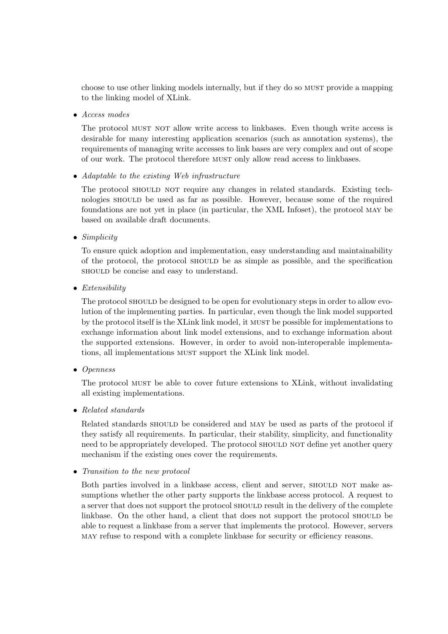choose to use other linking models internally, but if they do so must provide a mapping to the linking model of XLink.

• Access modes

The protocol must not allow write access to linkbases. Even though write access is desirable for many interesting application scenarios (such as annotation systems), the requirements of managing write accesses to link bases are very complex and out of scope of our work. The protocol therefore must only allow read access to linkbases.

• Adaptable to the existing Web infrastructure

The protocol SHOULD NOT require any changes in related standards. Existing technologies should be used as far as possible. However, because some of the required foundations are not yet in place (in particular, the XML Infoset), the protocol may be based on available draft documents.

• Simplicity

To ensure quick adoption and implementation, easy understanding and maintainability of the protocol, the protocol should be as simple as possible, and the specification should be concise and easy to understand.

• Extensibility

The protocol should be designed to be open for evolutionary steps in order to allow evolution of the implementing parties. In particular, even though the link model supported by the protocol itself is the XLink link model, it must be possible for implementations to exchange information about link model extensions, and to exchange information about the supported extensions. However, in order to avoid non-interoperable implementations, all implementations must support the XLink link model.

• Openness

The protocol MUST be able to cover future extensions to XLink, without invalidating all existing implementations.

• Related standards

Related standards SHOULD be considered and MAY be used as parts of the protocol if they satisfy all requirements. In particular, their stability, simplicity, and functionality need to be appropriately developed. The protocol should not define yet another query mechanism if the existing ones cover the requirements.

• Transition to the new protocol

Both parties involved in a linkbase access, client and server, should not make assumptions whether the other party supports the linkbase access protocol. A request to a server that does not support the protocol should result in the delivery of the complete linkbase. On the other hand, a client that does not support the protocol SHOULD be able to request a linkbase from a server that implements the protocol. However, servers may refuse to respond with a complete linkbase for security or efficiency reasons.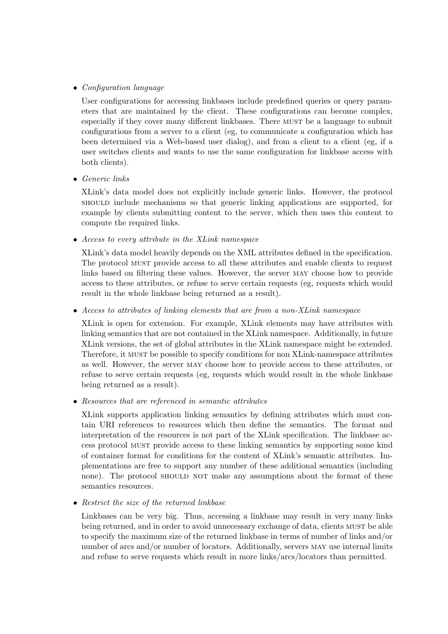### • Configuration language

User configurations for accessing linkbases include predefined queries or query parameters that are maintained by the client. These configurations can become complex, especially if they cover many different linkbases. There must be a language to submit configurations from a server to a client (eg, to communicate a configuration which has been determined via a Web-based user dialog), and from a client to a client (eg, if a user switches clients and wants to use the same configuration for linkbase access with both clients).

• Generic links

XLink's data model does not explicitly include generic links. However, the protocol should include mechanisms so that generic linking applications are supported, for example by clients submitting content to the server, which then uses this content to compute the required links.

• Access to every attribute in the XLink namespace

XLink's data model heavily depends on the XML attributes defined in the specification. The protocol must provide access to all these attributes and enable clients to request links based on filtering these values. However, the server may choose how to provide access to these attributes, or refuse to serve certain requests (eg, requests which would result in the whole linkbase being returned as a result).

• Access to attributes of linking elements that are from a non-XLink namespace

XLink is open for extension. For example, XLink elements may have attributes with linking semantics that are not contained in the XLink namespace. Additionally, in future XLink versions, the set of global attributes in the XLink namespace might be extended. Therefore, it must be possible to specify conditions for non XLink-namespace attributes as well. However, the server may choose how to provide access to these attributes, or refuse to serve certain requests (eg, requests which would result in the whole linkbase being returned as a result).

• Resources that are referenced in semantic attributes

XLink supports application linking semantics by defining attributes which must contain URI references to resources which then define the semantics. The format and interpretation of the resources is not part of the XLink specification. The linkbase access protocol must provide access to these linking semantics by supporting some kind of container format for conditions for the content of XLink's semantic attributes. Implementations are free to support any number of these additional semantics (including none). The protocol should not make any assumptions about the format of these semantics resources.

• Restrict the size of the returned linkbase

Linkbases can be very big. Thus, accessing a linkbase may result in very many links being returned, and in order to avoid unnecessary exchange of data, clients must be able to specify the maximum size of the returned linkbase in terms of number of links and/or number of arcs and/or number of locators. Additionally, servers may use internal limits and refuse to serve requests which result in more links/arcs/locators than permitted.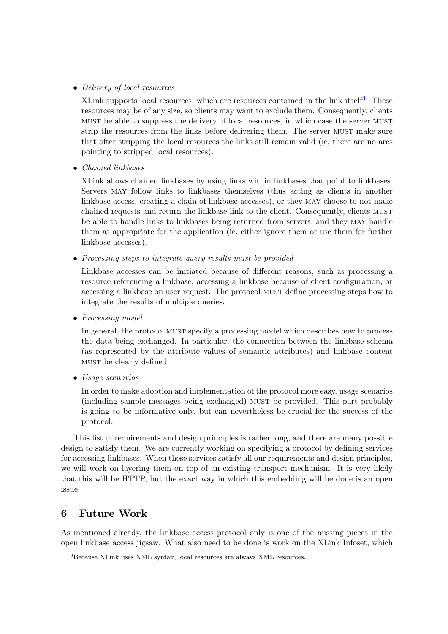#### • Delivery of local resources

XLink supports local resources, which are resources contained in the link itself<sup>3</sup>. These resources may be of any size, so clients may want to exclude them. Consequently, clients must be able to suppress the delivery of local resources, in which case the server must strip the resources from the links before delivering them. The server MUST make sure that after stripping the local resources the links still remain valid (ie, there are no arcs pointing to stripped local resources).

• Chained linkbases

XLink allows chained linkbases by using links within linkbases that point to linkbases. Servers may follow links to linkbases themselves (thus acting as clients in another linkbase access, creating a chain of linkbase accesses), or they may choose to not make chained requests and return the linkbase link to the client. Consequently, clients must be able to handle links to linkbases being returned from servers, and they may handle them as appropriate for the application (ie, either ignore them or use them for further linkbase accesses).

• Processing steps to integrate query results must be provided

Linkbase accesses can be initiated because of different reasons, such as processing a resource referencing a linkbase, accessing a linkbase because of client configuration, or accessing a linkbase on user request. The protocol must define processing steps how to integrate the results of multiple queries.

• Processing model

In general, the protocol must specify a processing model which describes how to process the data being exchanged. In particular, the connection between the linkbase schema (as represented by the attribute values of semantic attributes) and linkbase content must be clearly defined.

• Usage scenarios

In order to make adoption and implementation of the protocol more easy, usage scenarios (including sample messages being exchanged) must be provided. This part probably is going to be informative only, but can nevertheless be crucial for the success of the protocol.

This list of requirements and design principles is rather long, and there are many possible design to satisfy them. We are currently working on specifying a protocol by defining services for accessing linkbases. When these services satisfy all our requirements and design principles, we will work on layering them on top of an existing transport mechanism. It is very likely that this will be HTTP, but the exact way in which this embedding will be done is an open issue.

## 6 Future Work

As mentioned already, the linkbase access protocol only is one of the missing pieces in the open linkbase access jigsaw. What also need to be done is work on the XLink Infoset, which

<sup>3</sup>Because XLink uses XML syntax, local resources are always XML resources.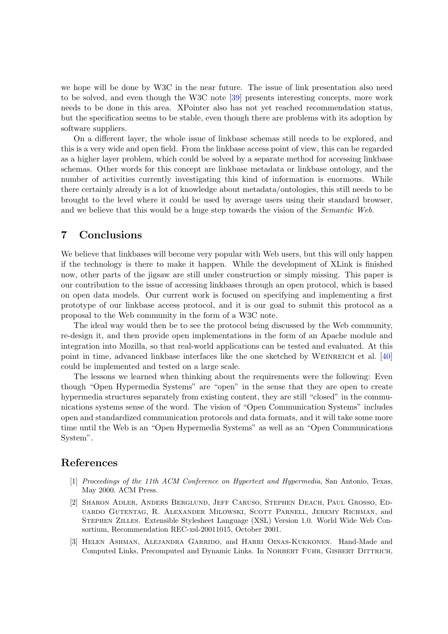<span id="page-11-0"></span>we hope will be done by W3C in the near future. The issue of link presentation also need to be solved, and even though the W3C note [\[39\]](#page-13-0) presents interesting concepts, more work needs to be done in this area. XPointer also has not yet reached recommendation status, but the specification seems to be stable, even though there are problems with its adoption by software suppliers.

On a different layer, the whole issue of linkbase schemas still needs to be explored, and this is a very wide and open field. From the linkbase access point of view, this can be regarded as a higher layer problem, which could be solved by a separate method for accessing linkbase schemas. Other words for this concept are linkbase metadata or linkbase ontology, and the number of activities currently investigating this kind of information is enormous. While there certainly already is a lot of knowledge about metadata/ontologies, this still needs to be brought to the level where it could be used by average users using their standard browser, and we believe that this would be a huge step towards the vision of the *Semantic Web*.

## 7 Conclusions

We believe that linkbases will become very popular with Web users, but this will only happen if the technology is there to make it happen. While the development of XLink is finished now, other parts of the jigsaw are still under construction or simply missing. This paper is our contribution to the issue of accessing linkbases through an open protocol, which is based on open data models. Our current work is focused on specifying and implementing a first prototype of our linkbase access protocol, and it is our goal to submit this protocol as a proposal to the Web community in the form of a W3C note.

The ideal way would then be to see the protocol being discussed by the Web community, re-design it, and then provide open implementations in the form of an Apache module and integration into Mozilla, so that real-world applications can be tested and evaluated. At this point in time, advanced linkbase interfaces like the one sketched by WEINREICH et al. [\[40\]](#page-13-0) could be implemented and tested on a large scale.

The lessons we learned when thinking about the requirements were the following: Even though "Open Hypermedia Systems" are "open" in the sense that they are open to create hypermedia structures separately from existing content, they are still "closed" in the communications systems sense of the word. The vision of "Open Communication Systems" includes open and standardized communication protocols and data formats, and it will take some more time until the Web is an "Open Hypermedia Systems" as well as an "Open Communications System".

## References

- [1] Proceedings of the 11th ACM Conference on Hypertext and Hypermedia, San Antonio, Texas, May 2000. ACM Press.
- [2] Sharon Adler, Anders Berglund, Jeff Caruso, Stephen Deach, Paul Grosso, Eduardo Gutentag, R. Alexander Milowski, Scott Parnell, Jeremy Richman, and Stephen Zilles. Extensible Stylesheet Language (XSL) Version 1.0. World Wide Web Consortium, Recommendation REC-xsl-20011015, October 2001.
- [3] Helen Ashman, Alejandra Garrido, and Harri Oinas-Kukkonen. Hand-Made and Computed Links, Precomputed and Dynamic Links. In NORBERT FUHR, GISBERT DITTRICH,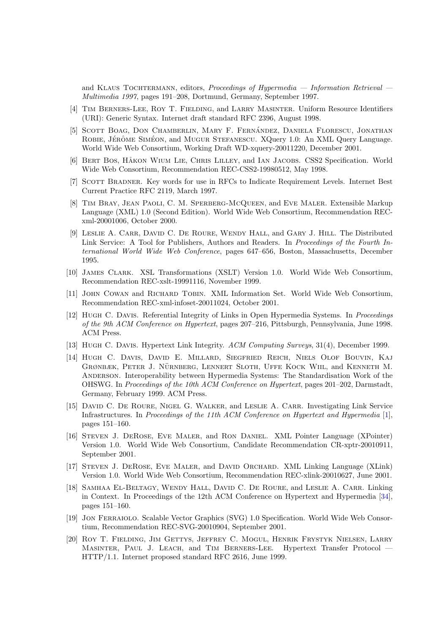<span id="page-12-0"></span>and KLAUS TOCHTERMANN, editors, *Proceedings of Hypermedia — Information Retrieval* — Multimedia 1997, pages 191–208, Dortmund, Germany, September 1997.

- [4] Tim Berners-Lee, Roy T. Fielding, and Larry Masinter. Uniform Resource Identifiers (URI): Generic Syntax. Internet draft standard RFC 2396, August 1998.
- [5] SCOTT BOAG, DON CHAMBERLIN, MARY F. FERNÁNDEZ, DANIELA FLORESCU, JONATHAN ROBIE, JÉRÔME SIMÉON, and MUGUR STEFANESCU. XQuery 1.0: An XML Query Language. World Wide Web Consortium, Working Draft WD-xquery-20011220, December 2001.
- [6] Bert Bos, H˚akon Wium Lie, Chris Lilley, and Ian Jacobs. CSS2 Specification. World Wide Web Consortium, Recommendation REC-CSS2-19980512, May 1998.
- [7] Scott Bradner. Key words for use in RFCs to Indicate Requirement Levels. Internet Best Current Practice RFC 2119, March 1997.
- [8] Tim Bray, Jean Paoli, C. M. Sperberg-McQueen, and Eve Maler. Extensible Markup Language (XML) 1.0 (Second Edition). World Wide Web Consortium, Recommendation RECxml-20001006, October 2000.
- [9] Leslie A. Carr, David C. De Roure, Wendy Hall, and Gary J. Hill. The Distributed Link Service: A Tool for Publishers, Authors and Readers. In Proceedings of the Fourth International World Wide Web Conference, pages 647–656, Boston, Massachusetts, December 1995.
- [10] James Clark. XSL Transformations (XSLT) Version 1.0. World Wide Web Consortium, Recommendation REC-xslt-19991116, November 1999.
- [11] John Cowan and Richard Tobin. XML Information Set. World Wide Web Consortium, Recommendation REC-xml-infoset-20011024, October 2001.
- [12] Hugh C. Davis. Referential Integrity of Links in Open Hypermedia Systems. In Proceedings of the 9th ACM Conference on Hypertext, pages 207–216, Pittsburgh, Pennsylvania, June 1998. ACM Press.
- [13] Hugh C. Davis. Hypertext Link Integrity. ACM Computing Surveys, 31(4), December 1999.
- [14] Hugh C. Davis, David E. Millard, Siegfried Reich, Niels Olof Bouvin, Kaj GRØNBÆK, PETER J. NÜRNBERG, LENNERT SLOTH, UFFE KOCK WIIL, and KENNETH M. Anderson. Interoperability between Hypermedia Systems: The Standardisation Work of the OHSWG. In Proceedings of the 10th ACM Conference on Hypertext, pages 201–202, Darmstadt, Germany, February 1999. ACM Press.
- [15] DAVID C. DE ROURE, NIGEL G. WALKER, and LESLIE A. CARR. Investigating Link Service Infrastructures. In Proceedings of the 11th ACM Conference on Hypertext and Hypermedia [\[1\]](#page-11-0), pages 151–160.
- [16] Steven J. DeRose, Eve Maler, and Ron Daniel. XML Pointer Language (XPointer) Version 1.0. World Wide Web Consortium, Candidate Recommendation CR-xptr-20010911, September 2001.
- [17] STEVEN J. DEROSE, EVE MALER, and DAVID ORCHARD. XML Linking Language (XLink) Version 1.0. World Wide Web Consortium, Recommendation REC-xlink-20010627, June 2001.
- [18] Samhaa El-Beltagy, Wendy Hall, David C. De Roure, and Leslie A. Carr. Linking in Context. In Proceedings of the 12th ACM Conference on Hypertext and Hypermedia [\[34\]](#page-13-0), pages 151–160.
- [19] Jon Ferraiolo. Scalable Vector Graphics (SVG) 1.0 Specification. World Wide Web Consortium, Recommendation REC-SVG-20010904, September 2001.
- [20] Roy T. Fielding, Jim Gettys, Jeffrey C. Mogul, Henrik Frystyk Nielsen, Larry Masinter, Paul J. Leach, and Tim Berners-Lee. Hypertext Transfer Protocol — HTTP/1.1. Internet proposed standard RFC 2616, June 1999.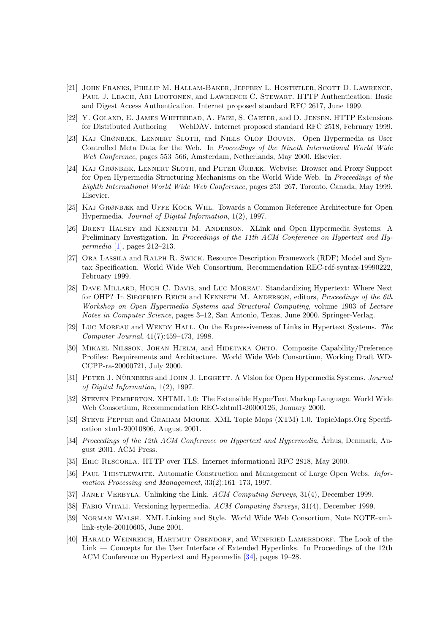- <span id="page-13-0"></span>[21] John Franks, Phillip M. Hallam-Baker, Jeffery L. Hostetler, Scott D. Lawrence, Paul J. Leach, Ari Luotonen, and Lawrence C. Stewart. HTTP Authentication: Basic and Digest Access Authentication. Internet proposed standard RFC 2617, June 1999.
- [22] Y. Goland, E. James Whitehead, A. Faizi, S. Carter, and D. Jensen. HTTP Extensions for Distributed Authoring — WebDAV. Internet proposed standard RFC 2518, February 1999.
- [23] Kaj Grønbæk, Lennert Sloth, and Niels Olof Bouvin. Open Hypermedia as User Controlled Meta Data for the Web. In Proceedings of the Nineth International World Wide Web Conference, pages 553–566, Amsterdam, Netherlands, May 2000. Elsevier.
- [24] Kaj Grønbæk, Lennert Sloth, and Peter Ørbæk. Webvise: Browser and Proxy Support for Open Hypermedia Structuring Mechanisms on the World Wide Web. In Proceedings of the Eighth International World Wide Web Conference, pages 253–267, Toronto, Canada, May 1999. Elsevier.
- [25] Kaj Grønbæk and Uffe Kock Wiil. Towards a Common Reference Architecture for Open Hypermedia. Journal of Digital Information, 1(2), 1997.
- [26] Brent Halsey and Kenneth M. Anderson. XLink and Open Hypermedia Systems: A Preliminary Investigation. In Proceedings of the 11th ACM Conference on Hypertext and Hy-permedia [\[1\]](#page-11-0), pages  $212-213$ .
- [27] Ora Lassila and Ralph R. Swick. Resource Description Framework (RDF) Model and Syntax Specification. World Wide Web Consortium, Recommendation REC-rdf-syntax-19990222, February 1999.
- [28] Dave Millard, Hugh C. Davis, and Luc Moreau. Standardizing Hypertext: Where Next for OHP? In SIEGFRIED REICH and KENNETH M. ANDERSON, editors, *Proceedings of the 6th* Workshop on Open Hypermedia Systems and Structural Computing, volume 1903 of Lecture Notes in Computer Science, pages 3–12, San Antonio, Texas, June 2000. Springer-Verlag.
- [29] LUC MOREAU and WENDY HALL. On the Expressiveness of Links in Hypertext Systems. The Computer Journal, 41(7):459–473, 1998.
- [30] Mikael Nilsson, Johan Hjelm, and Hidetaka Ohto. Composite Capability/Preference Profiles: Requirements and Architecture. World Wide Web Consortium, Working Draft WD-CCPP-ra-20000721, July 2000.
- [31] PETER J. NÜRNBERG and JOHN J. LEGGETT. A Vision for Open Hypermedia Systems. Journal of Digital Information, 1(2), 1997.
- [32] Steven Pemberton. XHTML 1.0: The Extensible HyperText Markup Language. World Wide Web Consortium, Recommendation REC-xhtml1-20000126, January 2000.
- [33] Steve Pepper and Graham Moore. XML Topic Maps (XTM) 1.0. TopicMaps.Org Specification xtm1-20010806, August 2001.
- [34] Proceedings of the 12th ACM Conference on Hypertext and Hypermedia, Århus, Denmark, August 2001. ACM Press.
- [35] Eric Rescorla. HTTP over TLS. Internet informational RFC 2818, May 2000.
- [36] PAUL THISTLEWAITE. Automatic Construction and Management of Large Open Webs. Information Processing and Management, 33(2):161–173, 1997.
- [37] JANET VERBYLA. Unlinking the Link. ACM Computing Surveys, 31(4), December 1999.
- [38] Fabio Vitali. Versioning hypermedia. ACM Computing Surveys, 31(4), December 1999.
- [39] Norman Walsh. XML Linking and Style. World Wide Web Consortium, Note NOTE-xmllink-style-20010605, June 2001.
- [40] Harald Weinreich, Hartmut Obendorf, and Winfried Lamersdorf. The Look of the Link — Concepts for the User Interface of Extended Hyperlinks. In Proceedings of the 12th ACM Conference on Hypertext and Hypermedia [34], pages 19–28.